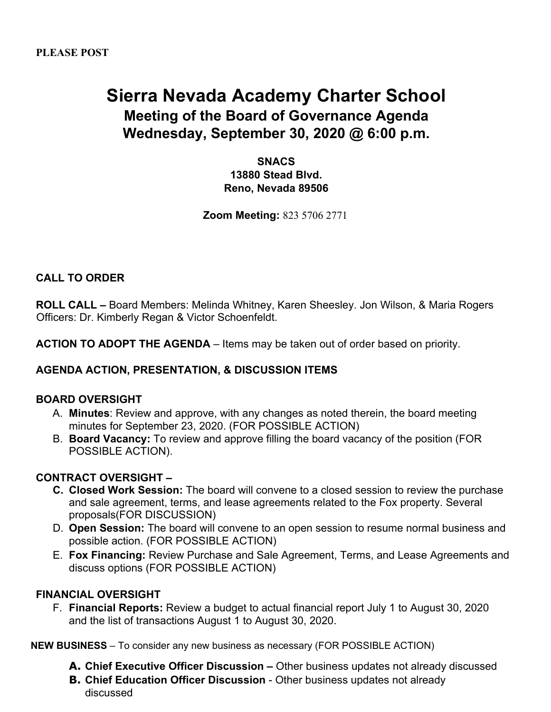# **Sierra Nevada Academy Charter School Meeting of the Board of Governance Agenda Wednesday, September 30, 2020 @ 6:00 p.m.**

**SNACS 13880 Stead Blvd. Reno, Nevada 89506**

**Zoom Meeting:** 823 5706 2771

# **CALL TO ORDER**

**ROLL CALL –** Board Members: Melinda Whitney, Karen Sheesley. Jon Wilson, & Maria Rogers Officers: Dr. Kimberly Regan & Victor Schoenfeldt.

**ACTION TO ADOPT THE AGENDA** – Items may be taken out of order based on priority.

#### **AGENDA ACTION, PRESENTATION, & DISCUSSION ITEMS**

#### **BOARD OVERSIGHT**

- A. **Minutes**: Review and approve, with any changes as noted therein, the board meeting minutes for September 23, 2020. (FOR POSSIBLE ACTION)
- B. **Board Vacancy:** To review and approve filling the board vacancy of the position (FOR POSSIBLE ACTION).

#### **CONTRACT OVERSIGHT –**

- **C. Closed Work Session:** The board will convene to a closed session to review the purchase and sale agreement, terms, and lease agreements related to the Fox property. Several proposals(FOR DISCUSSION)
- D. **Open Session:** The board will convene to an open session to resume normal business and possible action. (FOR POSSIBLE ACTION)
- E. **Fox Financing:** Review Purchase and Sale Agreement, Terms, and Lease Agreements and discuss options (FOR POSSIBLE ACTION)

#### **FINANCIAL OVERSIGHT**

F. **Financial Reports:** Review a budget to actual financial report July 1 to August 30, 2020 and the list of transactions August 1 to August 30, 2020.

**NEW BUSINESS** – To consider any new business as necessary (FOR POSSIBLE ACTION)

- **A. Chief Executive Officer Discussion –** Other business updates not already discussed
- **B. Chief Education Officer Discussion**  Other business updates not already discussed